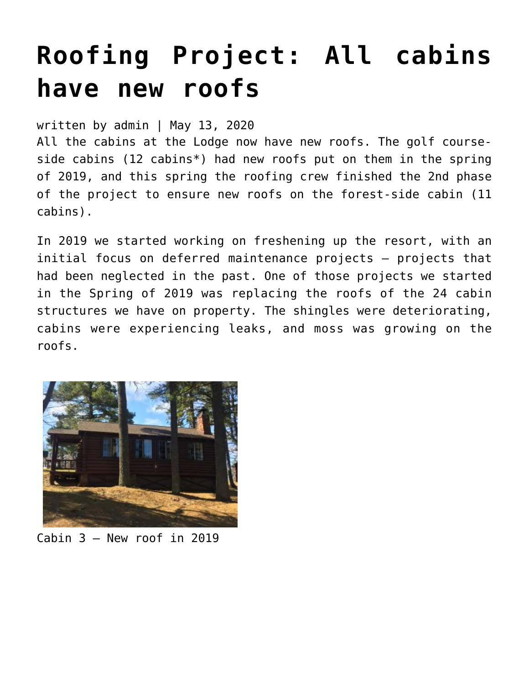## **[Roofing Project: All cabins](https://keweenawmountainlodge.com/2020/05/13/roofing-project-all-cabins-have-new-roofs/) [have new roofs](https://keweenawmountainlodge.com/2020/05/13/roofing-project-all-cabins-have-new-roofs/)**

## written by admin | May 13, 2020

All the cabins at the Lodge now have new roofs. The golf courseside cabins (12 cabins\*) had new roofs put on them in the spring of 2019, and this spring the roofing crew finished the 2nd phase of the project to ensure new roofs on the forest-side cabin (11 cabins).

In 2019 we started working on freshening up the resort, with an initial focus on deferred maintenance projects — projects that had been neglected in the past. One of those projects we started in the Spring of 2019 was replacing the roofs of the 24 cabin structures we have on property. The shingles were deteriorating, cabins were experiencing leaks, and moss was growing on the roofs.



Cabin 3 – New roof in 2019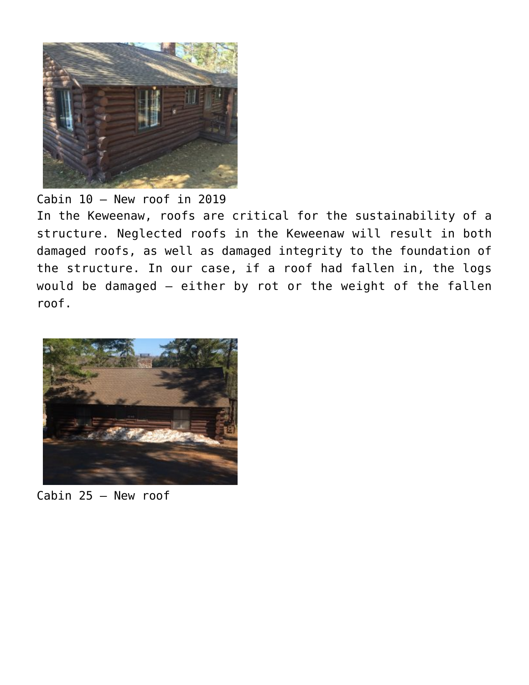

Cabin 10 – New roof in 2019

In the Keweenaw, roofs are critical for the sustainability of a structure. Neglected roofs in the Keweenaw will result in both damaged roofs, as well as damaged integrity to the foundation of the structure. In our case, if a roof had fallen in, the logs would be damaged — either by rot or the weight of the fallen roof.



Cabin 25 – New roof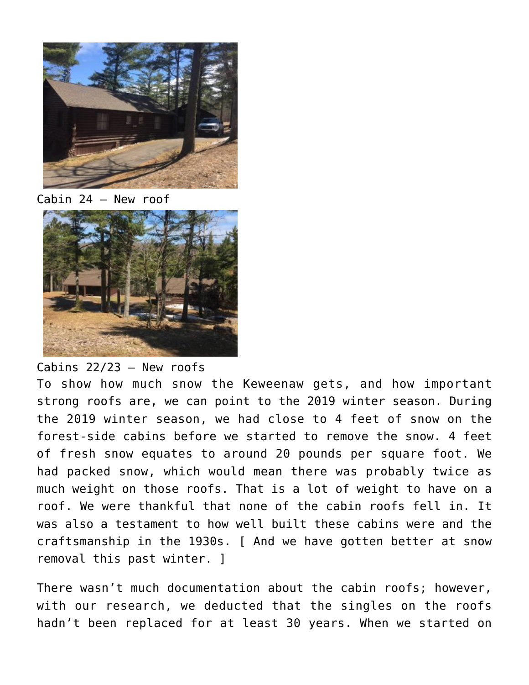

Cabin 24 – New roof



Cabins 22/23 – New roofs

To show how much snow the Keweenaw gets, and how important strong roofs are, we can point to the 2019 winter season. During the 2019 winter season, we had close to 4 feet of snow on the forest-side cabins before we started to remove the snow. 4 feet of fresh snow equates to around 20 pounds per square foot. We had packed snow, which would mean there was probably twice as much weight on those roofs. That is a lot of weight to have on a roof. We were thankful that none of the cabin roofs fell in. It was also a testament to how well built these cabins were and the craftsmanship in the 1930s. [ And we have gotten better at snow removal this past winter. ]

There wasn't much documentation about the cabin roofs; however, with our research, we deducted that the singles on the roofs hadn't been replaced for at least 30 years. When we started on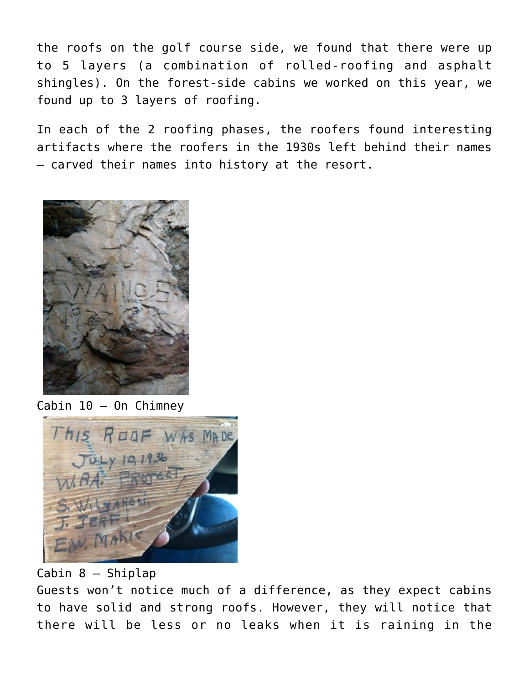the roofs on the golf course side, we found that there were up to 5 layers (a combination of rolled-roofing and asphalt shingles). On the forest-side cabins we worked on this year, we found up to 3 layers of roofing.

In each of the 2 roofing phases, the roofers found interesting artifacts where the roofers in the 1930s left behind their names — carved their names into history at the resort.



Cabin  $10 - 0n$  Chimney



## Cabin 8 – Shiplap

Guests won't notice much of a difference, as they expect cabins to have solid and strong roofs. However, they will notice that there will be less or no leaks when it is raining in the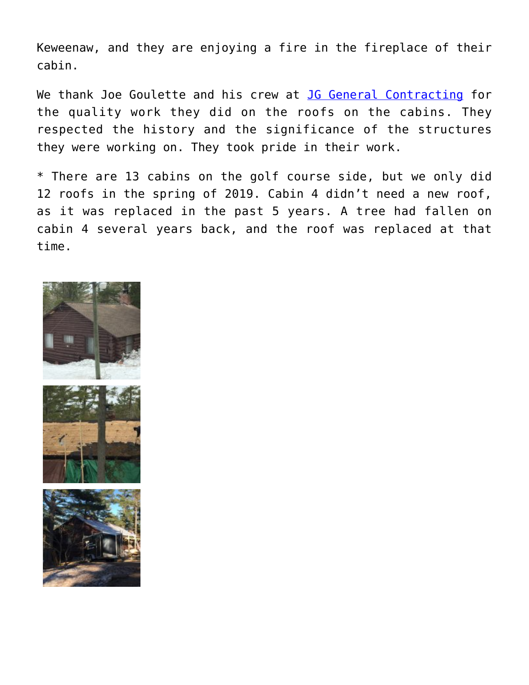Keweenaw, and they are enjoying a fire in the fireplace of their cabin.

We thank Joe Goulette and his crew at [JG General Contracting](https://jggeneralcontracting.weebly.com/) for the quality work they did on the roofs on the cabins. They respected the history and the significance of the structures they were working on. They took pride in their work.

\* There are 13 cabins on the golf course side, but we only did 12 roofs in the spring of 2019. Cabin 4 didn't need a new roof, as it was replaced in the past 5 years. A tree had fallen on cabin 4 several years back, and the roof was replaced at that time.

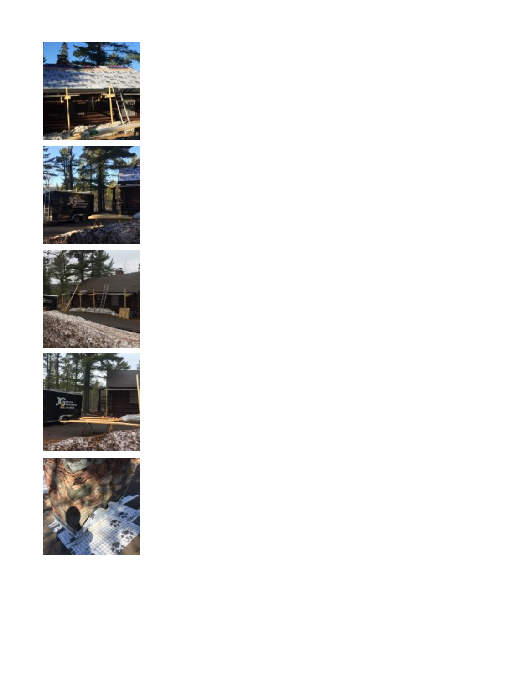